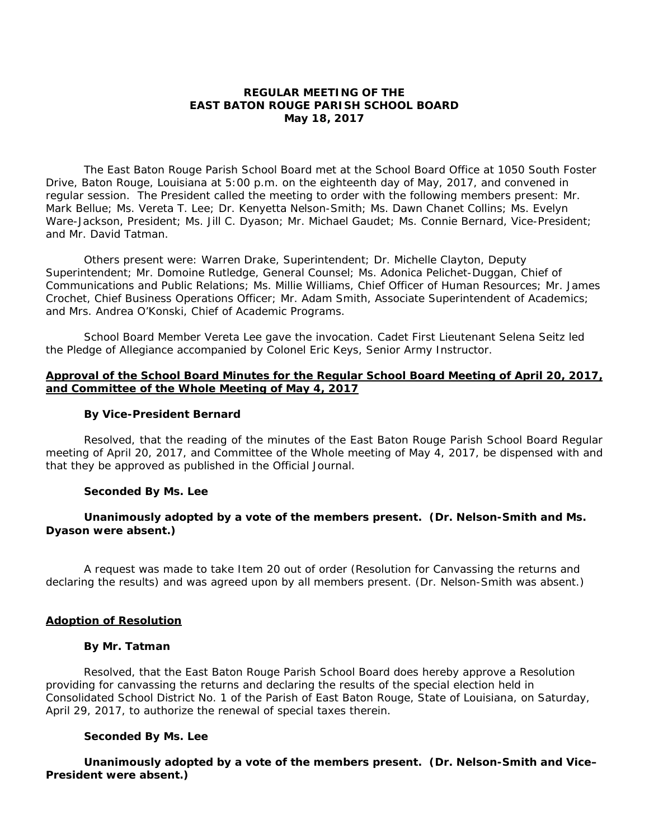## **REGULAR MEETING OF THE EAST BATON ROUGE PARISH SCHOOL BOARD May 18, 2017**

The East Baton Rouge Parish School Board met at the School Board Office at 1050 South Foster Drive, Baton Rouge, Louisiana at 5:00 p.m. on the eighteenth day of May, 2017, and convened in regular session. The President called the meeting to order with the following members present: Mr. Mark Bellue; Ms. Vereta T. Lee; Dr. Kenyetta Nelson-Smith; Ms. Dawn Chanet Collins; Ms. Evelyn Ware-Jackson, President; Ms. Jill C. Dyason; Mr. Michael Gaudet; Ms. Connie Bernard, Vice-President; and Mr. David Tatman.

Others present were: Warren Drake, Superintendent; Dr. Michelle Clayton, Deputy Superintendent; Mr. Domoine Rutledge, General Counsel; Ms. Adonica Pelichet-Duggan, Chief of Communications and Public Relations; Ms. Millie Williams, Chief Officer of Human Resources; Mr. James Crochet, Chief Business Operations Officer; Mr. Adam Smith, Associate Superintendent of Academics; and Mrs. Andrea O'Konski, Chief of Academic Programs.

School Board Member Vereta Lee gave the invocation. Cadet First Lieutenant Selena Seitz led the Pledge of Allegiance accompanied by Colonel Eric Keys, Senior Army Instructor.

### **Approval of the School Board Minutes for the Regular School Board Meeting of April 20, 2017, and Committee of the Whole Meeting of May 4, 2017**

#### **By Vice-President Bernard**

Resolved, that the reading of the minutes of the East Baton Rouge Parish School Board Regular meeting of April 20, 2017, and Committee of the Whole meeting of May 4, 2017, be dispensed with and that they be approved as published in the Official Journal.

#### **Seconded By Ms. Lee**

## **Unanimously adopted by a vote of the members present. (Dr. Nelson-Smith and Ms. Dyason were absent.)**

A request was made to take Item 20 out of order (Resolution for Canvassing the returns and declaring the results) and was agreed upon by all members present. (Dr. Nelson-Smith was absent.)

### **Adoption of Resolution**

#### **By Mr. Tatman**

Resolved, that the East Baton Rouge Parish School Board does hereby approve a Resolution providing for canvassing the returns and declaring the results of the special election held in Consolidated School District No. 1 of the Parish of East Baton Rouge, State of Louisiana, on Saturday, April 29, 2017, to authorize the renewal of special taxes therein.

### **Seconded By Ms. Lee**

**Unanimously adopted by a vote of the members present. (Dr. Nelson-Smith and Vice– President were absent.)**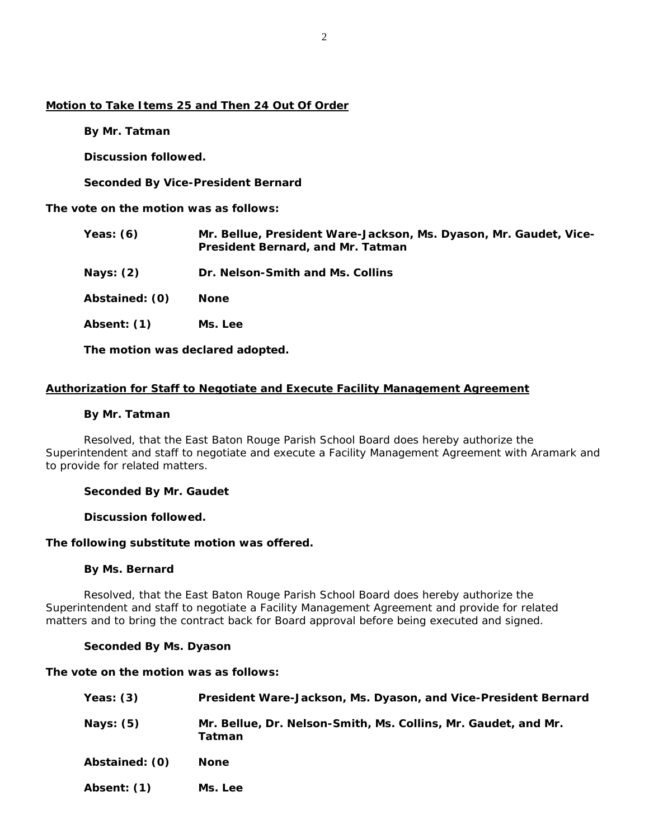# **Motion to Take Items 25 and Then 24 Out Of Order**

 **By Mr. Tatman** 

 **Discussion followed.** 

 **Seconded By Vice-President Bernard** 

**The vote on the motion was as follows:** 

| Yeas: $(6)$    | Mr. Bellue, President Ware-Jackson, Ms. Dyason, Mr. Gaudet, Vice-<br>President Bernard, and Mr. Tatman |
|----------------|--------------------------------------------------------------------------------------------------------|
| Nays: $(2)$    | Dr. Nelson-Smith and Ms. Collins                                                                       |
| Abstained: (0) | <b>None</b>                                                                                            |
| Absent: (1)    | Ms. Lee                                                                                                |
|                |                                                                                                        |

**The motion was declared adopted.** 

## **Authorization for Staff to Negotiate and Execute Facility Management Agreement**

#### **By Mr. Tatman**

Resolved, that the East Baton Rouge Parish School Board does hereby authorize the Superintendent and staff to negotiate and execute a Facility Management Agreement with Aramark and to provide for related matters.

### **Seconded By Mr. Gaudet**

 **Discussion followed.** 

### **The following substitute motion was offered.**

### **By Ms. Bernard**

Resolved, that the East Baton Rouge Parish School Board does hereby authorize the Superintendent and staff to negotiate a Facility Management Agreement and provide for related matters and to bring the contract back for Board approval before being executed and signed.

## **Seconded By Ms. Dyason**

### **The vote on the motion was as follows:**

| Yeas: $(3)$    | President Ware-Jackson, Ms. Dyason, and Vice-President Bernard           |
|----------------|--------------------------------------------------------------------------|
| Nays: $(5)$    | Mr. Bellue, Dr. Nelson-Smith, Ms. Collins, Mr. Gaudet, and Mr.<br>Tatman |
| Abstained: (0) | <b>None</b>                                                              |
| Absent: (1)    | Ms. Lee                                                                  |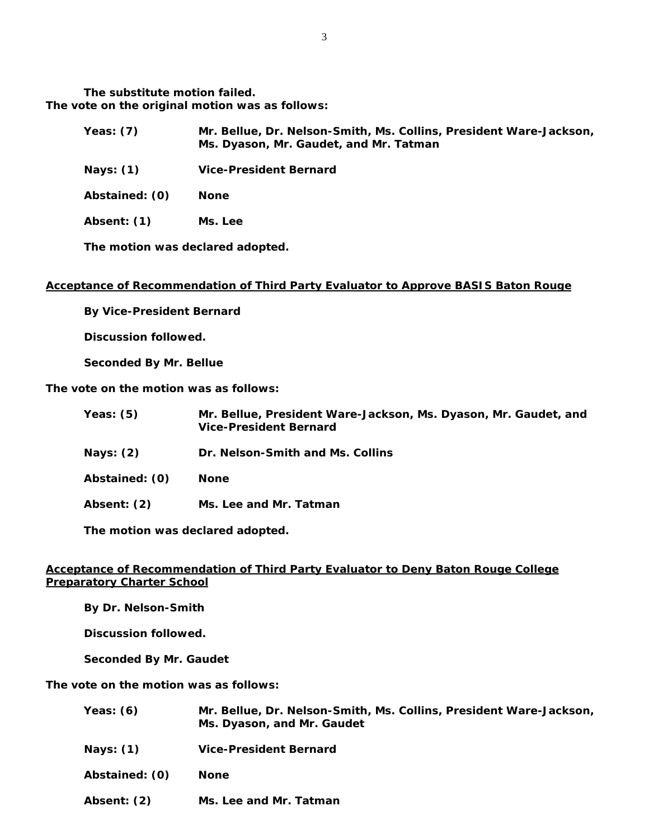**The substitute motion failed. The vote on the original motion was as follows:** 

| <b>Yeas: (7)</b> | Mr. Bellue, Dr. Nelson-Smith, Ms. Collins, President Ware-Jackson,<br>Ms. Dyason, Mr. Gaudet, and Mr. Tatman |  |
|------------------|--------------------------------------------------------------------------------------------------------------|--|
| Nays: (1)        | Vice-President Bernard                                                                                       |  |
| Abstained: (0)   | <b>None</b>                                                                                                  |  |

**Absent: (1) Ms. Lee** 

**The motion was declared adopted.** 

## **Acceptance of Recommendation of Third Party Evaluator to Approve BASIS Baton Rouge**

 **By Vice-President Bernard** 

 **Discussion followed.** 

 **Seconded By Mr. Bellue** 

**The vote on the motion was as follows:** 

| Yeas: $(5)$    | Mr. Bellue, President Ware-Jackson, Ms. Dyason, Mr. Gaudet, and<br><b>Vice-President Bernard</b> |
|----------------|--------------------------------------------------------------------------------------------------|
| Nays: $(2)$    | Dr. Nelson-Smith and Ms. Collins                                                                 |
| Abstained: (0) | <b>None</b>                                                                                      |
| Absent: (2)    | Ms. Lee and Mr. Tatman                                                                           |

**The motion was declared adopted.** 

## **Acceptance of Recommendation of Third Party Evaluator to Deny Baton Rouge College Preparatory Charter School**

 **By Dr. Nelson-Smith** 

 **Discussion followed.** 

 **Seconded By Mr. Gaudet** 

**The vote on the motion was as follows:** 

| Yeas: $(6)$    | Mr. Bellue, Dr. Nelson-Smith, Ms. Collins, President Ware-Jackson,<br>Ms. Dyason, and Mr. Gaudet |
|----------------|--------------------------------------------------------------------------------------------------|
| Nays: $(1)$    | <b>Vice-President Bernard</b>                                                                    |
| Abstained: (0) | <b>None</b>                                                                                      |
| Absent: (2)    | Ms. Lee and Mr. Tatman                                                                           |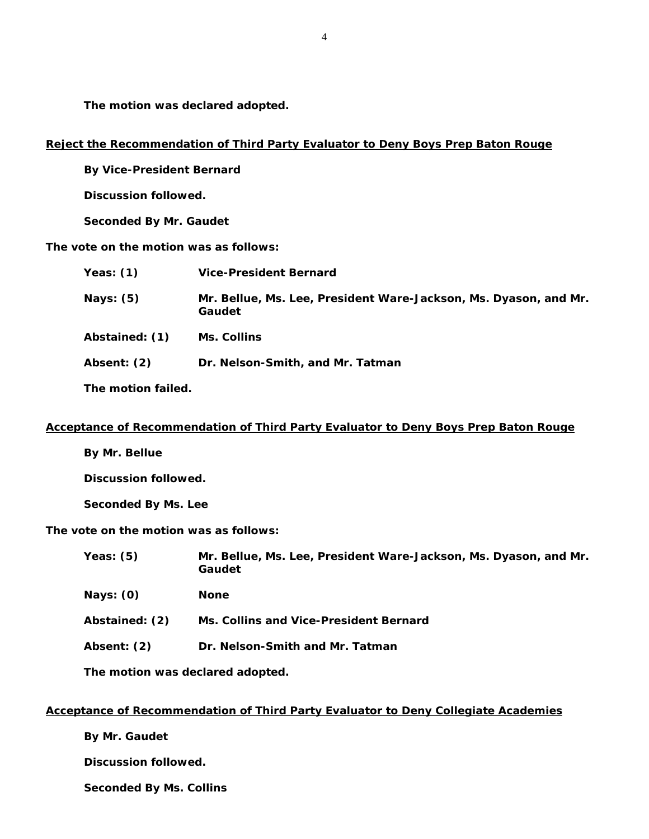**The motion was declared adopted.** 

## **Reject the Recommendation of Third Party Evaluator to Deny Boys Prep Baton Rouge**

 **By Vice-President Bernard** 

**Discussion followed.** 

**Seconded By Mr. Gaudet** 

**The vote on the motion was as follows:** 

| Yeas: $(1)$    | <b>Vice-President Bernard</b>                                              |
|----------------|----------------------------------------------------------------------------|
| Nays: $(5)$    | Mr. Bellue, Ms. Lee, President Ware-Jackson, Ms. Dyason, and Mr.<br>Gaudet |
| Abstained: (1) | <b>Ms. Collins</b>                                                         |
| Absent: (2)    | Dr. Nelson-Smith, and Mr. Tatman                                           |
|                |                                                                            |

**The motion failed.** 

### **Acceptance of Recommendation of Third Party Evaluator to Deny Boys Prep Baton Rouge**

**By Mr. Bellue** 

**Discussion followed.** 

**Seconded By Ms. Lee** 

**The vote on the motion was as follows:** 

**Yeas: (5) Mr. Bellue, Ms. Lee, President Ware-Jackson, Ms. Dyason, and Mr. Gaudet** 

**Nays: (0) None** 

- **Abstained: (2) Ms. Collins and Vice-President Bernard**
- **Absent: (2) Dr. Nelson-Smith and Mr. Tatman**

**The motion was declared adopted.** 

# **Acceptance of Recommendation of Third Party Evaluator to Deny Collegiate Academies**

 **By Mr. Gaudet** 

 **Discussion followed.** 

 **Seconded By Ms. Collins**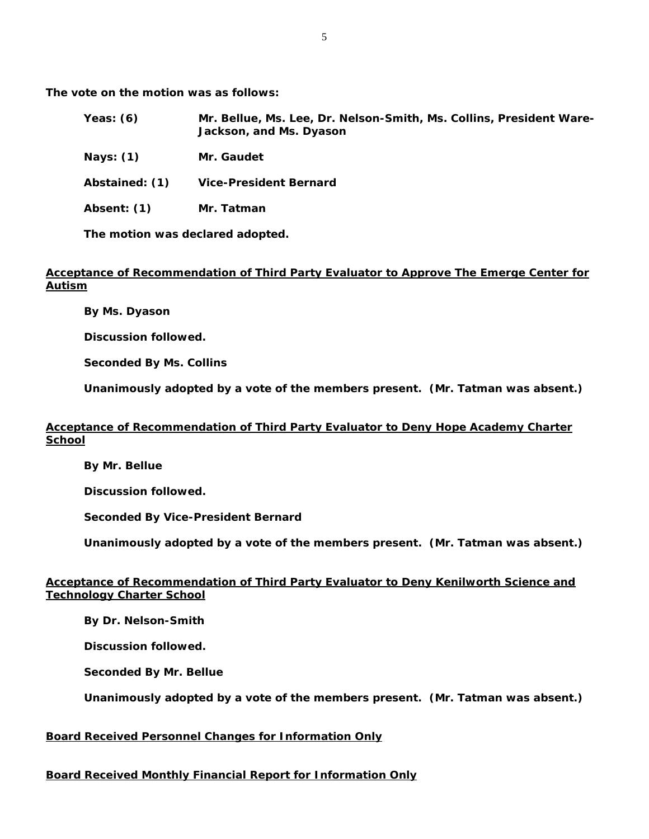**The vote on the motion was as follows:** 

| Yeas: $(6)$    | Mr. Bellue, Ms. Lee, Dr. Nelson-Smith, Ms. Collins, President Ware-<br>Jackson, and Ms. Dyason |
|----------------|------------------------------------------------------------------------------------------------|
| Nays: $(1)$    | Mr. Gaudet                                                                                     |
| Abstained: (1) | <b>Vice-President Bernard</b>                                                                  |
| Absent: (1)    | Mr. Tatman                                                                                     |

**The motion was declared adopted.** 

## **Acceptance of Recommendation of Third Party Evaluator to Approve The Emerge Center for Autism**

 **By Ms. Dyason** 

 **Discussion followed.** 

 **Seconded By Ms. Collins** 

**Unanimously adopted by a vote of the members present. (Mr. Tatman was absent.)** 

# **Acceptance of Recommendation of Third Party Evaluator to Deny Hope Academy Charter School**

**By Mr. Bellue** 

 **Discussion followed.** 

 **Seconded By Vice-President Bernard** 

**Unanimously adopted by a vote of the members present. (Mr. Tatman was absent.)**

# **Acceptance of Recommendation of Third Party Evaluator to Deny Kenilworth Science and Technology Charter School**

**By Dr. Nelson-Smith** 

 **Discussion followed.** 

 **Seconded By Mr. Bellue** 

**Unanimously adopted by a vote of the members present. (Mr. Tatman was absent.)** 

# **Board Received Personnel Changes for Information Only**

# **Board Received Monthly Financial Report for Information Only**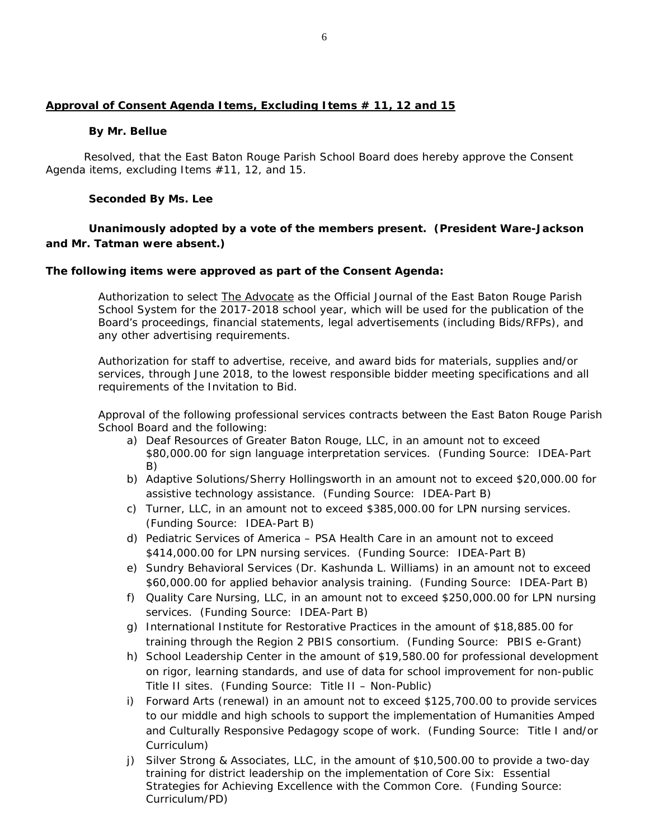# **Approval of Consent Agenda Items, Excluding Items # 11, 12 and 15**

## **By Mr. Bellue**

Resolved, that the East Baton Rouge Parish School Board does hereby approve the Consent Agenda items, excluding Items #11, 12, and 15.

## **Seconded By Ms. Lee**

# **Unanimously adopted by a vote of the members present. (President Ware-Jackson and Mr. Tatman were absent.)**

## *The following items were approved as part of the Consent Agenda:*

Authorization to select The Advocate as the Official Journal of the East Baton Rouge Parish School System for the 2017-2018 school year, which will be used for the publication of the Board's proceedings, financial statements, legal advertisements (including Bids/RFPs), and any other advertising requirements.

Authorization for staff to advertise, receive, and award bids for materials, supplies and/or services, through June 2018, to the lowest responsible bidder meeting specifications and all requirements of the Invitation to Bid.

Approval of the following professional services contracts between the East Baton Rouge Parish School Board and the following:

- a) Deaf Resources of Greater Baton Rouge, LLC, in an amount not to exceed \$80,000.00 for sign language interpretation services. (Funding Source: IDEA-Part B)
- b) Adaptive Solutions/Sherry Hollingsworth in an amount not to exceed \$20,000.00 for assistive technology assistance. (Funding Source: IDEA-Part B)
- c) Turner, LLC, in an amount not to exceed \$385,000.00 for LPN nursing services. (Funding Source: IDEA-Part B)
- d) Pediatric Services of America PSA Health Care in an amount not to exceed \$414,000.00 for LPN nursing services. (Funding Source: IDEA-Part B)
- e) Sundry Behavioral Services (Dr. Kashunda L. Williams) in an amount not to exceed \$60,000.00 for applied behavior analysis training. (Funding Source: IDEA-Part B)
- f) Quality Care Nursing, LLC, in an amount not to exceed \$250,000.00 for LPN nursing services. (Funding Source: IDEA-Part B)
- g) International Institute for Restorative Practices in the amount of \$18,885.00 for training through the Region 2 PBIS consortium. (Funding Source: PBIS e-Grant)
- h) School Leadership Center in the amount of \$19,580.00 for professional development on rigor, learning standards, and use of data for school improvement for non-public Title II sites. (Funding Source: Title II – Non-Public)
- i) Forward Arts (renewal) in an amount not to exceed \$125,700.00 to provide services to our middle and high schools to support the implementation of Humanities Amped and Culturally Responsive Pedagogy scope of work. (Funding Source: Title I and/or Curriculum)
- j) Silver Strong & Associates, LLC, in the amount of \$10,500.00 to provide a two-day training for district leadership on the implementation of *Core Six: Essential Strategies for Achieving Excellence with the Common Core*. (Funding Source: Curriculum/PD)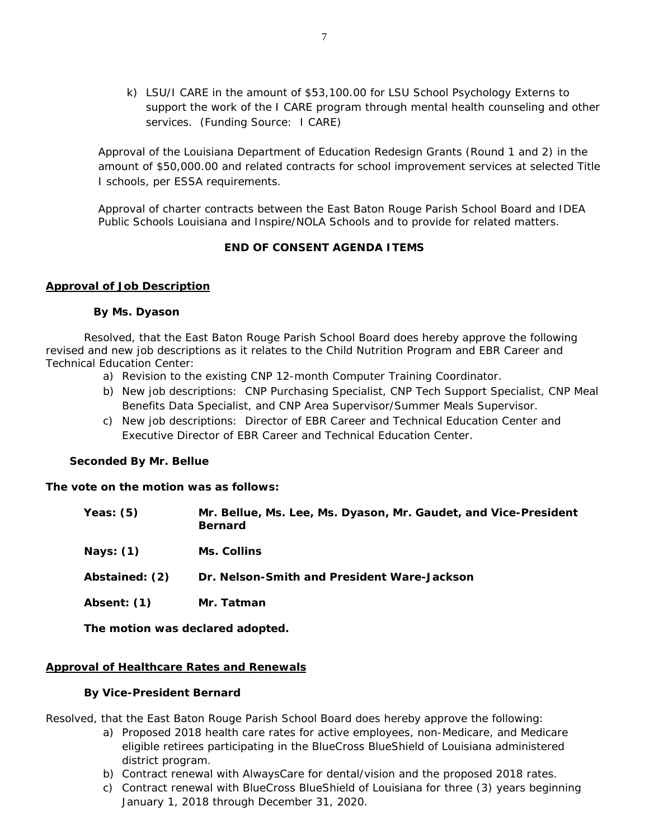k) LSU/I CARE in the amount of \$53,100.00 for LSU School Psychology Externs to support the work of the I CARE program through mental health counseling and other services. (Funding Source: I CARE)

Approval of the Louisiana Department of Education Redesign Grants (Round 1 and 2) in the amount of \$50,000.00 and related contracts for school improvement services at selected Title I schools, per ESSA requirements.

Approval of charter contracts between the East Baton Rouge Parish School Board and IDEA Public Schools Louisiana and Inspire/NOLA Schools and to provide for related matters.

# **END OF CONSENT AGENDA ITEMS**

## **Approval of Job Description**

### **By Ms. Dyason**

Resolved, that the East Baton Rouge Parish School Board does hereby approve the following revised and new job descriptions as it relates to the Child Nutrition Program and EBR Career and Technical Education Center:

- a) Revision to the existing CNP 12-month Computer Training Coordinator.
- b) New job descriptions: CNP Purchasing Specialist, CNP Tech Support Specialist, CNP Meal Benefits Data Specialist, and CNP Area Supervisor/Summer Meals Supervisor.
- c) New job descriptions: Director of EBR Career and Technical Education Center and Executive Director of EBR Career and Technical Education Center.

### **Seconded By Mr. Bellue**

### **The vote on the motion was as follows:**

| Yeas: $(5)$                      | Mr. Bellue, Ms. Lee, Ms. Dyason, Mr. Gaudet, and Vice-President<br><b>Bernard</b> |  |
|----------------------------------|-----------------------------------------------------------------------------------|--|
| Nays: $(1)$                      | Ms. Collins                                                                       |  |
| Abstained: (2)                   | Dr. Nelson-Smith and President Ware-Jackson                                       |  |
| Absent: (1)                      | Mr. Tatman                                                                        |  |
| The motion was declared adopted. |                                                                                   |  |

# **Approval of Healthcare Rates and Renewals**

### **By Vice-President Bernard**

Resolved, that the East Baton Rouge Parish School Board does hereby approve the following:

- a) Proposed 2018 health care rates for active employees, non-Medicare, and Medicare eligible retirees participating in the BlueCross BlueShield of Louisiana administered district program.
- b) Contract renewal with AlwaysCare for dental/vision and the proposed 2018 rates.
- c) Contract renewal with BlueCross BlueShield of Louisiana for three (3) years beginning January 1, 2018 through December 31, 2020.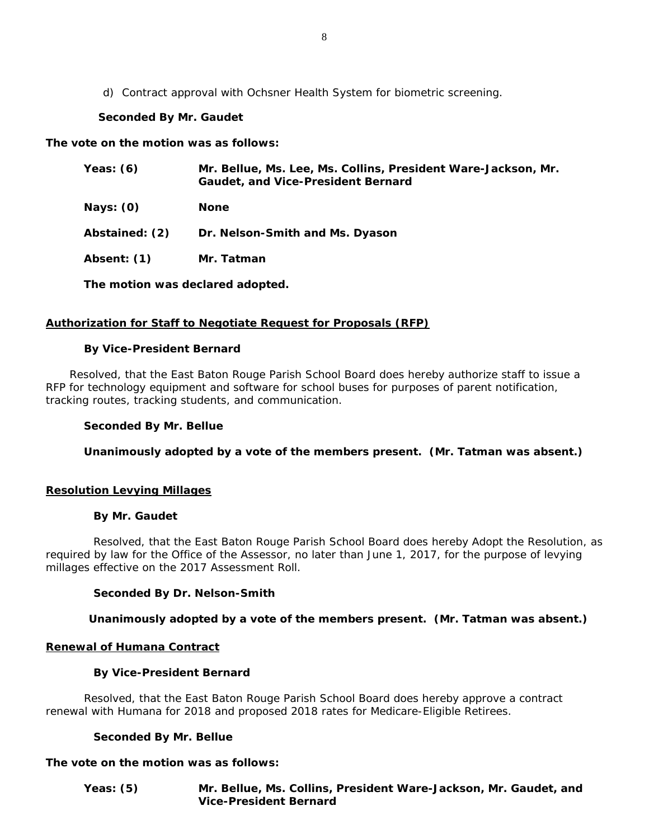d) Contract approval with Ochsner Health System for biometric screening.

# **Seconded By Mr. Gaudet**

**The vote on the motion was as follows:** 

| Yeas: (6)      | Mr. Bellue, Ms. Lee, Ms. Collins, President Ware-Jackson, Mr.<br><b>Gaudet, and Vice-President Bernard</b> |
|----------------|------------------------------------------------------------------------------------------------------------|
| Nays: (0)      | <b>None</b>                                                                                                |
| Abstained: (2) | Dr. Nelson-Smith and Ms. Dyason                                                                            |
| Absent: (1)    | Mr. Tatman                                                                                                 |
|                |                                                                                                            |

**The motion was declared adopted.** 

# **Authorization for Staff to Negotiate Request for Proposals (RFP)**

## **By Vice-President Bernard**

Resolved, that the East Baton Rouge Parish School Board does hereby authorize staff to issue a RFP for technology equipment and software for school buses for purposes of parent notification, tracking routes, tracking students, and communication.

## **Seconded By Mr. Bellue**

**Unanimously adopted by a vote of the members present. (Mr. Tatman was absent.)** 

### **Resolution Levying Millages**

### **By Mr. Gaudet**

 Resolved, that the East Baton Rouge Parish School Board does hereby Adopt the Resolution, as required by law for the Office of the Assessor, no later than June 1, 2017, for the purpose of levying millages effective on the 2017 Assessment Roll.

# **Seconded By Dr. Nelson-Smith**

# **Unanimously adopted by a vote of the members present. (Mr. Tatman was absent.)**

# **Renewal of Humana Contract**

### **By Vice-President Bernard**

Resolved, that the East Baton Rouge Parish School Board does hereby approve a contract renewal with Humana for 2018 and proposed 2018 rates for Medicare-Eligible Retirees.

# **Seconded By Mr. Bellue**

# **The vote on the motion was as follows:**

**Yeas: (5) Mr. Bellue, Ms. Collins, President Ware-Jackson, Mr. Gaudet, and Vice-President Bernard**